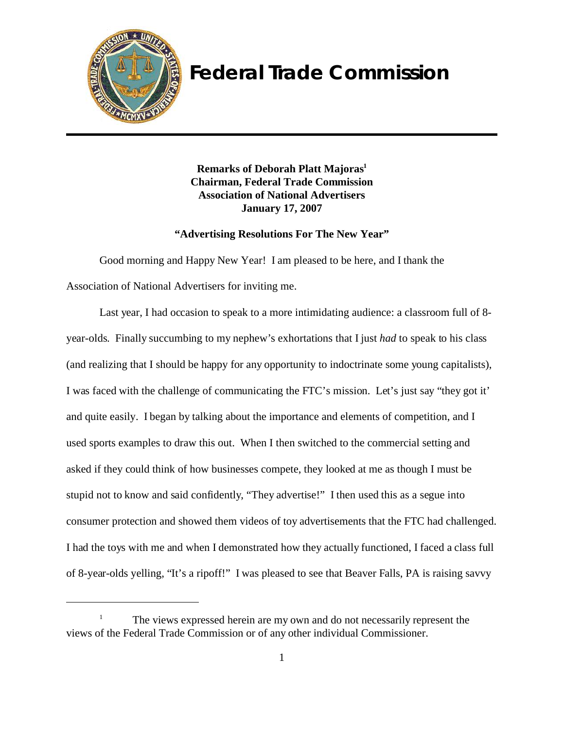

# **Federal Trade Commission**

**Remarks of Deborah Platt Majoras1 Chairman, Federal Trade Commission Association of National Advertisers January 17, 2007**

# **"Advertising Resolutions For The New Year"**

Good morning and Happy New Year! I am pleased to be here, and I thank the Association of National Advertisers for inviting me.

Last year, I had occasion to speak to a more intimidating audience: a classroom full of 8year-olds. Finally succumbing to my nephew's exhortations that I just *had* to speak to his class (and realizing that I should be happy for any opportunity to indoctrinate some young capitalists), I was faced with the challenge of communicating the FTC's mission. Let's just say "they got it' and quite easily. I began by talking about the importance and elements of competition, and I used sports examples to draw this out. When I then switched to the commercial setting and asked if they could think of how businesses compete, they looked at me as though I must be stupid not to know and said confidently, "They advertise!" I then used this as a segue into consumer protection and showed them videos of toy advertisements that the FTC had challenged. I had the toys with me and when I demonstrated how they actually functioned, I faced a class full of 8-year-olds yelling, "It's a ripoff!" I was pleased to see that Beaver Falls, PA is raising savvy

The views expressed herein are my own and do not necessarily represent the views of the Federal Trade Commission or of any other individual Commissioner.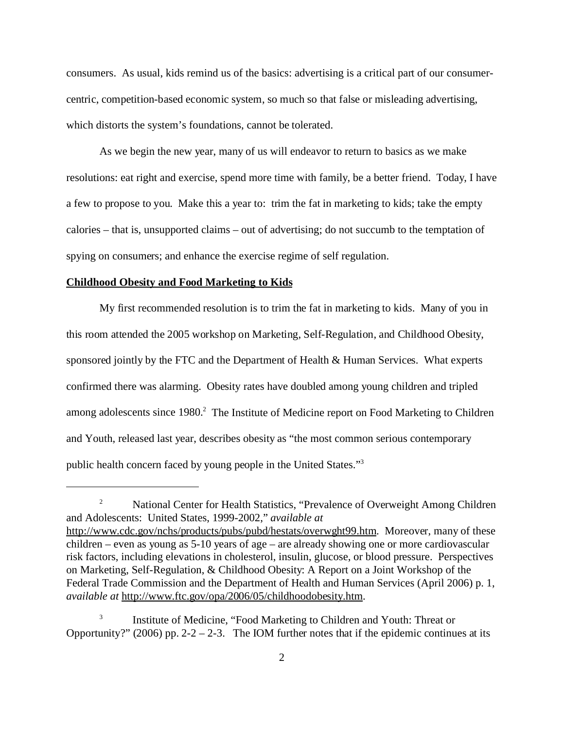consumers. As usual, kids remind us of the basics: advertising is a critical part of our consumercentric, competition-based economic system, so much so that false or misleading advertising, which distorts the system's foundations, cannot be tolerated.

As we begin the new year, many of us will endeavor to return to basics as we make resolutions: eat right and exercise, spend more time with family, be a better friend. Today, I have a few to propose to you. Make this a year to: trim the fat in marketing to kids; take the empty calories – that is, unsupported claims – out of advertising; do not succumb to the temptation of spying on consumers; and enhance the exercise regime of self regulation.

#### **Childhood Obesity and Food Marketing to Kids**

My first recommended resolution is to trim the fat in marketing to kids. Many of you in this room attended the 2005 workshop on Marketing, Self-Regulation, and Childhood Obesity, sponsored jointly by the FTC and the Department of Health & Human Services. What experts confirmed there was alarming. Obesity rates have doubled among young children and tripled among adolescents since 1980.<sup>2</sup> The Institute of Medicine report on Food Marketing to Children and Youth, released last year, describes obesity as "the most common serious contemporary public health concern faced by young people in the United States."3

<sup>&</sup>lt;sup>2</sup> National Center for Health Statistics, "Prevalence of Overweight Among Children and Adolescents: United States, 1999-2002," *available at*  http://www.cdc.gov/nchs/products/pubs/pubd/hestats/overwght99.htm. Moreover, many of these children – even as young as 5-10 years of age – are already showing one or more cardiovascular risk factors, including elevations in cholesterol, insulin, glucose, or blood pressure. Perspectives on Marketing, Self-Regulation, & Childhood Obesity: A Report on a Joint Workshop of the Federal Trade Commission and the Department of Health and Human Services (April 2006) p. 1, *available at* http://www.ftc.gov/opa/2006/05/childhoodobesity.htm.

Institute of Medicine, "Food Marketing to Children and Youth: Threat or Opportunity?" (2006) pp. 2-2 – 2-3. The IOM further notes that if the epidemic continues at its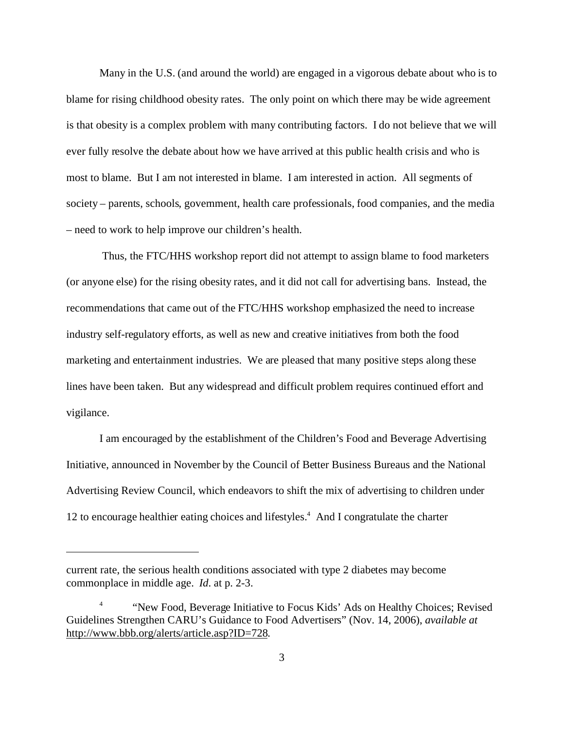Many in the U.S. (and around the world) are engaged in a vigorous debate about who is to blame for rising childhood obesity rates. The only point on which there may be wide agreement is that obesity is a complex problem with many contributing factors. I do not believe that we will ever fully resolve the debate about how we have arrived at this public health crisis and who is most to blame. But I am not interested in blame. I am interested in action. All segments of society – parents, schools, government, health care professionals, food companies, and the media – need to work to help improve our children's health.

 Thus, the FTC/HHS workshop report did not attempt to assign blame to food marketers (or anyone else) for the rising obesity rates, and it did not call for advertising bans. Instead, the recommendations that came out of the FTC/HHS workshop emphasized the need to increase industry self-regulatory efforts, as well as new and creative initiatives from both the food marketing and entertainment industries. We are pleased that many positive steps along these lines have been taken. But any widespread and difficult problem requires continued effort and vigilance.

I am encouraged by the establishment of the Children's Food and Beverage Advertising Initiative, announced in November by the Council of Better Business Bureaus and the National Advertising Review Council, which endeavors to shift the mix of advertising to children under 12 to encourage healthier eating choices and lifestyles.<sup>4</sup> And I congratulate the charter

current rate, the serious health conditions associated with type 2 diabetes may become commonplace in middle age. *Id*. at p. 2-3.

<sup>&</sup>quot;New Food, Beverage Initiative to Focus Kids' Ads on Healthy Choices; Revised Guidelines Strengthen CARU's Guidance to Food Advertisers" (Nov. 14, 2006), *available at*  http://www.bbb.org/alerts/article.asp?ID=728.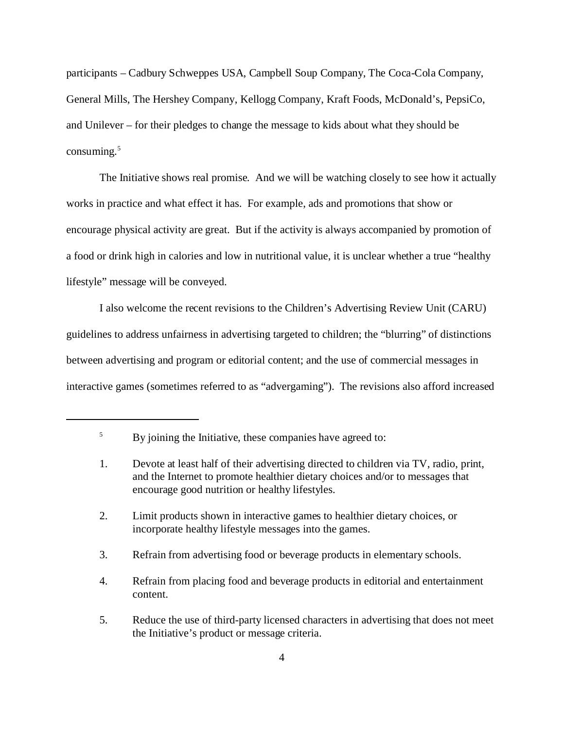participants – Cadbury Schweppes USA, Campbell Soup Company, The Coca-Cola Company, General Mills, The Hershey Company, Kellogg Company, Kraft Foods, McDonald's, PepsiCo, and Unilever – for their pledges to change the message to kids about what they should be consuming. $5$ 

The Initiative shows real promise. And we will be watching closely to see how it actually works in practice and what effect it has. For example, ads and promotions that show or encourage physical activity are great. But if the activity is always accompanied by promotion of a food or drink high in calories and low in nutritional value, it is unclear whether a true "healthy lifestyle" message will be conveyed.

I also welcome the recent revisions to the Children's Advertising Review Unit (CARU) guidelines to address unfairness in advertising targeted to children; the "blurring" of distinctions between advertising and program or editorial content; and the use of commercial messages in interactive games (sometimes referred to as "advergaming"). The revisions also afford increased

2. Limit products shown in interactive games to healthier dietary choices, or incorporate healthy lifestyle messages into the games.

3. Refrain from advertising food or beverage products in elementary schools.

4. Refrain from placing food and beverage products in editorial and entertainment content.

<sup>&</sup>lt;sup>5</sup> By joining the Initiative, these companies have agreed to:

<sup>1.</sup> Devote at least half of their advertising directed to children via TV, radio, print, and the Internet to promote healthier dietary choices and/or to messages that encourage good nutrition or healthy lifestyles.

<sup>5.</sup> Reduce the use of third-party licensed characters in advertising that does not meet the Initiative's product or message criteria.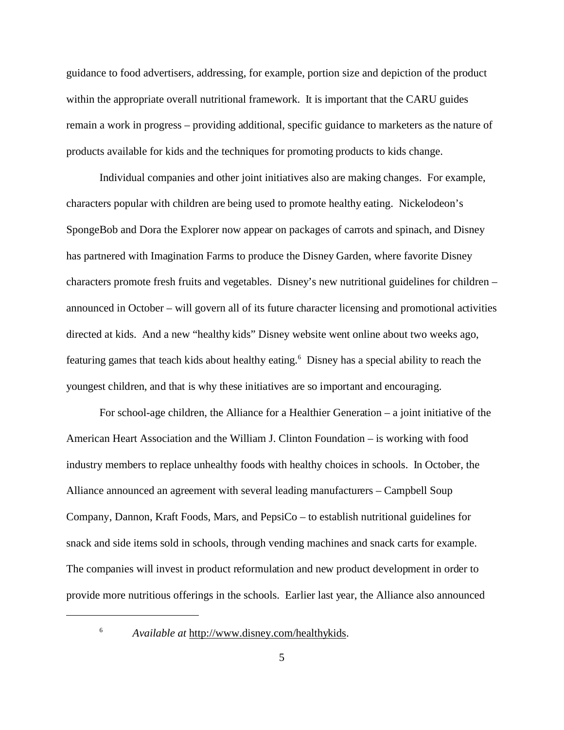guidance to food advertisers, addressing, for example, portion size and depiction of the product within the appropriate overall nutritional framework. It is important that the CARU guides remain a work in progress – providing additional, specific guidance to marketers as the nature of products available for kids and the techniques for promoting products to kids change.

Individual companies and other joint initiatives also are making changes. For example, characters popular with children are being used to promote healthy eating. Nickelodeon's SpongeBob and Dora the Explorer now appear on packages of carrots and spinach, and Disney has partnered with Imagination Farms to produce the Disney Garden, where favorite Disney characters promote fresh fruits and vegetables. Disney's new nutritional guidelines for children – announced in October – will govern all of its future character licensing and promotional activities directed at kids. And a new "healthy kids" Disney website went online about two weeks ago, featuring games that teach kids about healthy eating.<sup>6</sup> Disney has a special ability to reach the youngest children, and that is why these initiatives are so important and encouraging.

For school-age children, the Alliance for a Healthier Generation – a joint initiative of the American Heart Association and the William J. Clinton Foundation – is working with food industry members to replace unhealthy foods with healthy choices in schools. In October, the Alliance announced an agreement with several leading manufacturers – Campbell Soup Company, Dannon, Kraft Foods, Mars, and PepsiCo – to establish nutritional guidelines for snack and side items sold in schools, through vending machines and snack carts for example. The companies will invest in product reformulation and new product development in order to provide more nutritious offerings in the schools. Earlier last year, the Alliance also announced

<sup>6</sup>*Available at* http://www.disney.com/healthykids.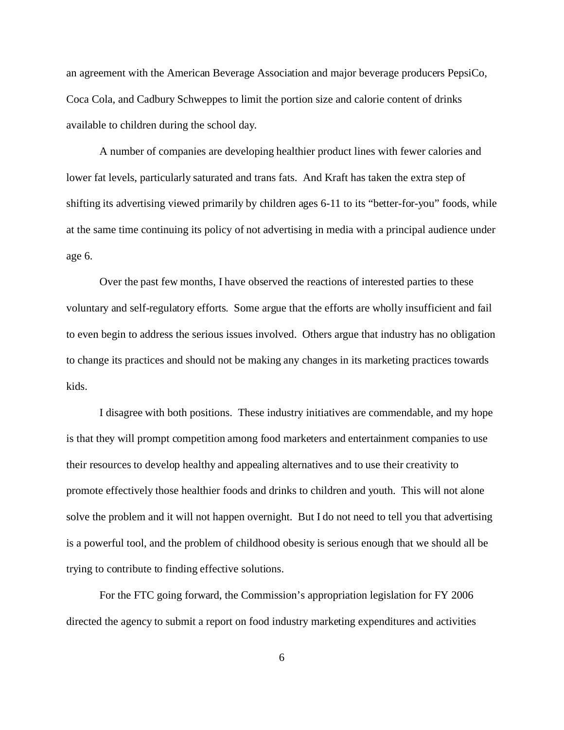an agreement with the American Beverage Association and major beverage producers PepsiCo, Coca Cola, and Cadbury Schweppes to limit the portion size and calorie content of drinks available to children during the school day.

A number of companies are developing healthier product lines with fewer calories and lower fat levels, particularly saturated and trans fats. And Kraft has taken the extra step of shifting its advertising viewed primarily by children ages 6-11 to its "better-for-you" foods, while at the same time continuing its policy of not advertising in media with a principal audience under age 6.

Over the past few months, I have observed the reactions of interested parties to these voluntary and self-regulatory efforts. Some argue that the efforts are wholly insufficient and fail to even begin to address the serious issues involved. Others argue that industry has no obligation to change its practices and should not be making any changes in its marketing practices towards kids.

I disagree with both positions. These industry initiatives are commendable, and my hope is that they will prompt competition among food marketers and entertainment companies to use their resources to develop healthy and appealing alternatives and to use their creativity to promote effectively those healthier foods and drinks to children and youth. This will not alone solve the problem and it will not happen overnight. But I do not need to tell you that advertising is a powerful tool, and the problem of childhood obesity is serious enough that we should all be trying to contribute to finding effective solutions.

For the FTC going forward, the Commission's appropriation legislation for FY 2006 directed the agency to submit a report on food industry marketing expenditures and activities

6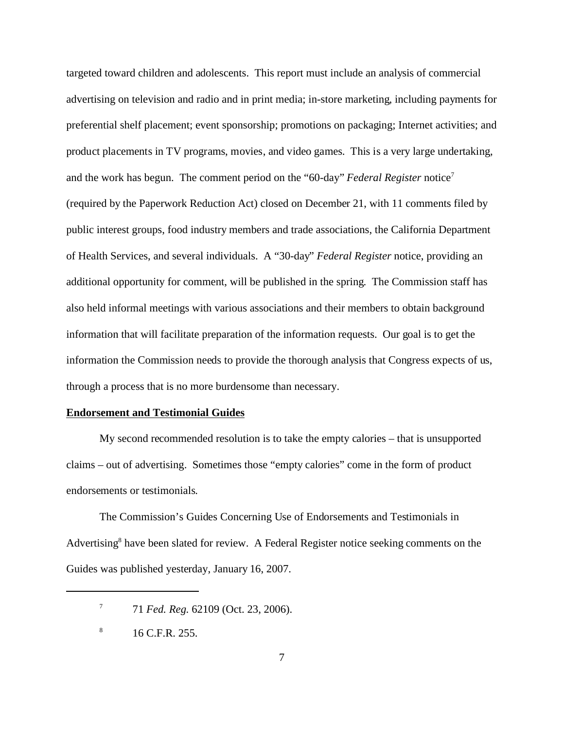targeted toward children and adolescents. This report must include an analysis of commercial advertising on television and radio and in print media; in-store marketing, including payments for preferential shelf placement; event sponsorship; promotions on packaging; Internet activities; and product placements in TV programs, movies, and video games. This is a very large undertaking, and the work has begun. The comment period on the "60-day" *Federal Register* notice7 (required by the Paperwork Reduction Act) closed on December 21, with 11 comments filed by public interest groups, food industry members and trade associations, the California Department of Health Services, and several individuals. A "30-day" *Federal Register* notice, providing an additional opportunity for comment, will be published in the spring. The Commission staff has also held informal meetings with various associations and their members to obtain background information that will facilitate preparation of the information requests. Our goal is to get the information the Commission needs to provide the thorough analysis that Congress expects of us, through a process that is no more burdensome than necessary.

## **Endorsement and Testimonial Guides**

My second recommended resolution is to take the empty calories – that is unsupported claims – out of advertising. Sometimes those "empty calories" come in the form of product endorsements or testimonials.

The Commission's Guides Concerning Use of Endorsements and Testimonials in Advertising<sup>8</sup> have been slated for review. A Federal Register notice seeking comments on the Guides was published yesterday, January 16, 2007.

<sup>7 71</sup> *Fed. Reg.* 62109 (Oct. 23, 2006).

 $^{8}$  16 C.F.R. 255.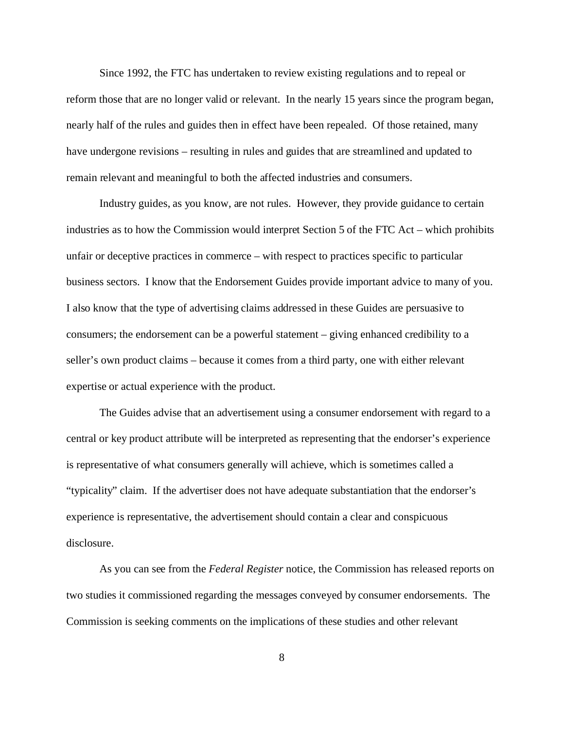Since 1992, the FTC has undertaken to review existing regulations and to repeal or reform those that are no longer valid or relevant. In the nearly 15 years since the program began, nearly half of the rules and guides then in effect have been repealed. Of those retained, many have undergone revisions – resulting in rules and guides that are streamlined and updated to remain relevant and meaningful to both the affected industries and consumers.

Industry guides, as you know, are not rules. However, they provide guidance to certain industries as to how the Commission would interpret Section 5 of the FTC Act – which prohibits unfair or deceptive practices in commerce – with respect to practices specific to particular business sectors. I know that the Endorsement Guides provide important advice to many of you. I also know that the type of advertising claims addressed in these Guides are persuasive to consumers; the endorsement can be a powerful statement – giving enhanced credibility to a seller's own product claims – because it comes from a third party, one with either relevant expertise or actual experience with the product.

The Guides advise that an advertisement using a consumer endorsement with regard to a central or key product attribute will be interpreted as representing that the endorser's experience is representative of what consumers generally will achieve, which is sometimes called a "typicality" claim. If the advertiser does not have adequate substantiation that the endorser's experience is representative, the advertisement should contain a clear and conspicuous disclosure.

As you can see from the *Federal Register* notice, the Commission has released reports on two studies it commissioned regarding the messages conveyed by consumer endorsements. The Commission is seeking comments on the implications of these studies and other relevant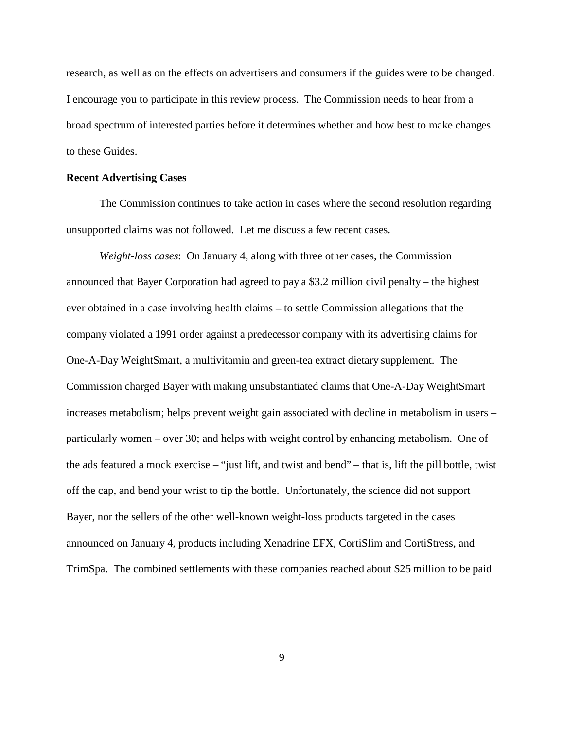research, as well as on the effects on advertisers and consumers if the guides were to be changed. I encourage you to participate in this review process. The Commission needs to hear from a broad spectrum of interested parties before it determines whether and how best to make changes to these Guides.

#### **Recent Advertising Cases**

The Commission continues to take action in cases where the second resolution regarding unsupported claims was not followed. Let me discuss a few recent cases.

*Weight-loss cases*: On January 4, along with three other cases, the Commission announced that Bayer Corporation had agreed to pay a \$3.2 million civil penalty – the highest ever obtained in a case involving health claims – to settle Commission allegations that the company violated a 1991 order against a predecessor company with its advertising claims for One-A-Day WeightSmart, a multivitamin and green-tea extract dietary supplement. The Commission charged Bayer with making unsubstantiated claims that One-A-Day WeightSmart increases metabolism; helps prevent weight gain associated with decline in metabolism in users – particularly women – over 30; and helps with weight control by enhancing metabolism. One of the ads featured a mock exercise – "just lift, and twist and bend" – that is, lift the pill bottle, twist off the cap, and bend your wrist to tip the bottle. Unfortunately, the science did not support Bayer, nor the sellers of the other well-known weight-loss products targeted in the cases announced on January 4, products including Xenadrine EFX, CortiSlim and CortiStress, and TrimSpa. The combined settlements with these companies reached about \$25 million to be paid

9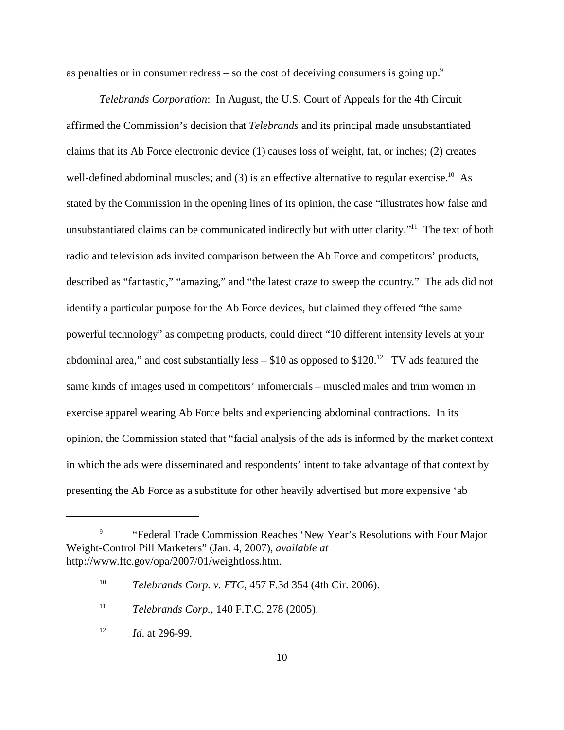as penalties or in consumer redress – so the cost of deceiving consumers is going up.<sup>9</sup>

*Telebrands Corporation*: In August, the U.S. Court of Appeals for the 4th Circuit affirmed the Commission's decision that *Telebrands* and its principal made unsubstantiated claims that its Ab Force electronic device (1) causes loss of weight, fat, or inches; (2) creates well-defined abdominal muscles; and  $(3)$  is an effective alternative to regular exercise.<sup>10</sup> As stated by the Commission in the opening lines of its opinion, the case "illustrates how false and unsubstantiated claims can be communicated indirectly but with utter clarity."<sup>11</sup> The text of both radio and television ads invited comparison between the Ab Force and competitors' products, described as "fantastic," "amazing," and "the latest craze to sweep the country." The ads did not identify a particular purpose for the Ab Force devices, but claimed they offered "the same powerful technology" as competing products, could direct "10 different intensity levels at your abdominal area," and cost substantially less  $- $10$  as opposed to  $$120.<sup>12</sup> TV$  ads featured the same kinds of images used in competitors' infomercials – muscled males and trim women in exercise apparel wearing Ab Force belts and experiencing abdominal contractions. In its opinion, the Commission stated that "facial analysis of the ads is informed by the market context in which the ads were disseminated and respondents' intent to take advantage of that context by presenting the Ab Force as a substitute for other heavily advertised but more expensive 'ab

<sup>9 &</sup>quot;Federal Trade Commission Reaches 'New Year's Resolutions with Four Major Weight-Control Pill Marketers" (Jan. 4, 2007), *available at*  http://www.ftc.gov/opa/2007/01/weightloss.htm.

<sup>10</sup>*Telebrands Corp. v. FTC*, 457 F.3d 354 (4th Cir. 2006).

<sup>11</sup>*Telebrands Corp.*, 140 F.T.C. 278 (2005).

<sup>12</sup>*Id*. at 296-99.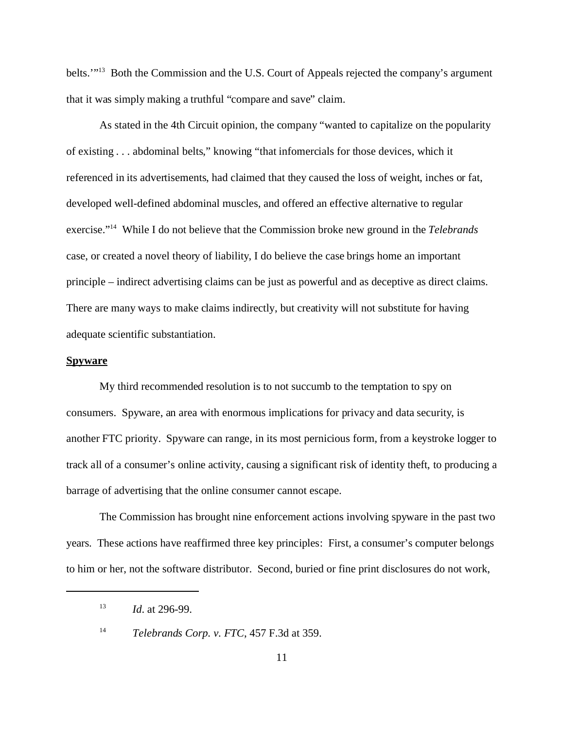belts.'"13 Both the Commission and the U.S. Court of Appeals rejected the company's argument that it was simply making a truthful "compare and save" claim.

As stated in the 4th Circuit opinion, the company "wanted to capitalize on the popularity of existing . . . abdominal belts," knowing "that infomercials for those devices, which it referenced in its advertisements, had claimed that they caused the loss of weight, inches or fat, developed well-defined abdominal muscles, and offered an effective alternative to regular exercise."14 While I do not believe that the Commission broke new ground in the *Telebrands*  case, or created a novel theory of liability, I do believe the case brings home an important principle – indirect advertising claims can be just as powerful and as deceptive as direct claims. There are many ways to make claims indirectly, but creativity will not substitute for having adequate scientific substantiation.

# **Spyware**

My third recommended resolution is to not succumb to the temptation to spy on consumers. Spyware, an area with enormous implications for privacy and data security, is another FTC priority. Spyware can range, in its most pernicious form, from a keystroke logger to track all of a consumer's online activity, causing a significant risk of identity theft, to producing a barrage of advertising that the online consumer cannot escape.

The Commission has brought nine enforcement actions involving spyware in the past two years. These actions have reaffirmed three key principles: First, a consumer's computer belongs to him or her, not the software distributor. Second, buried or fine print disclosures do not work,

<sup>13</sup>*Id*. at 296-99.

<sup>14</sup>*Telebrands Corp. v. FTC*, 457 F.3d at 359.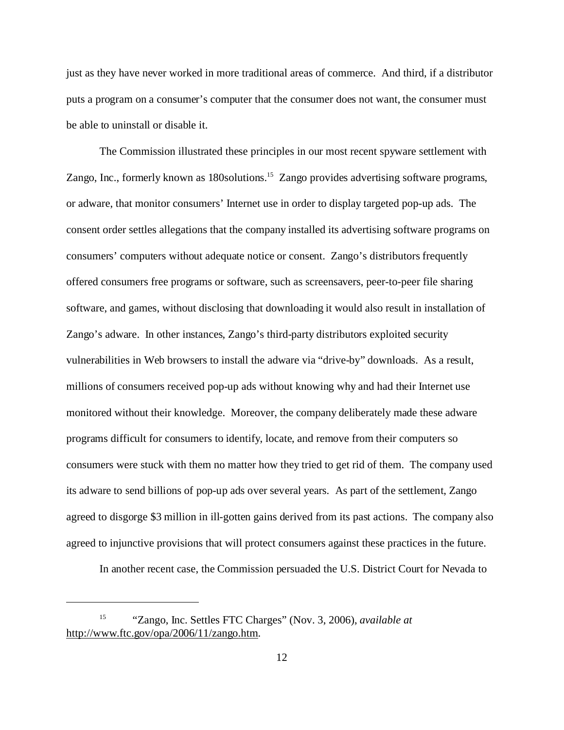just as they have never worked in more traditional areas of commerce. And third, if a distributor puts a program on a consumer's computer that the consumer does not want, the consumer must be able to uninstall or disable it.

The Commission illustrated these principles in our most recent spyware settlement with Zango, Inc., formerly known as 180 solutions.<sup>15</sup> Zango provides advertising software programs, or adware, that monitor consumers' Internet use in order to display targeted pop-up ads. The consent order settles allegations that the company installed its advertising software programs on consumers' computers without adequate notice or consent. Zango's distributors frequently offered consumers free programs or software, such as screensavers, peer-to-peer file sharing software, and games, without disclosing that downloading it would also result in installation of Zango's adware. In other instances, Zango's third-party distributors exploited security vulnerabilities in Web browsers to install the adware via "drive-by" downloads. As a result, millions of consumers received pop-up ads without knowing why and had their Internet use monitored without their knowledge. Moreover, the company deliberately made these adware programs difficult for consumers to identify, locate, and remove from their computers so consumers were stuck with them no matter how they tried to get rid of them. The company used its adware to send billions of pop-up ads over several years. As part of the settlement, Zango agreed to disgorge \$3 million in ill-gotten gains derived from its past actions. The company also agreed to injunctive provisions that will protect consumers against these practices in the future.

In another recent case, the Commission persuaded the U.S. District Court for Nevada to

<sup>15 &</sup>quot;Zango, Inc. Settles FTC Charges" (Nov. 3, 2006), *available at*  http://www.ftc.gov/opa/2006/11/zango.htm.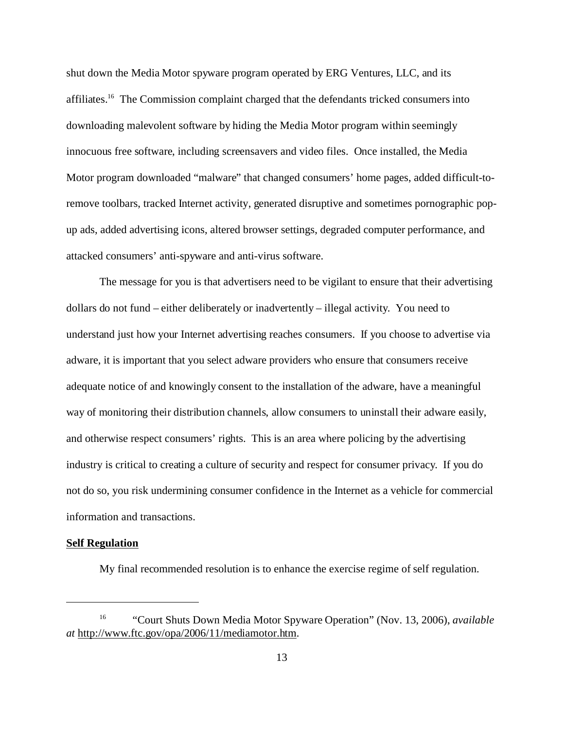shut down the Media Motor spyware program operated by ERG Ventures, LLC, and its affiliates.16 The Commission complaint charged that the defendants tricked consumers into downloading malevolent software by hiding the Media Motor program within seemingly innocuous free software, including screensavers and video files. Once installed, the Media Motor program downloaded "malware" that changed consumers' home pages, added difficult-toremove toolbars, tracked Internet activity, generated disruptive and sometimes pornographic popup ads, added advertising icons, altered browser settings, degraded computer performance, and attacked consumers' anti-spyware and anti-virus software.

The message for you is that advertisers need to be vigilant to ensure that their advertising dollars do not fund – either deliberately or inadvertently – illegal activity. You need to understand just how your Internet advertising reaches consumers. If you choose to advertise via adware, it is important that you select adware providers who ensure that consumers receive adequate notice of and knowingly consent to the installation of the adware, have a meaningful way of monitoring their distribution channels, allow consumers to uninstall their adware easily, and otherwise respect consumers' rights. This is an area where policing by the advertising industry is critical to creating a culture of security and respect for consumer privacy. If you do not do so, you risk undermining consumer confidence in the Internet as a vehicle for commercial information and transactions.

#### **Self Regulation**

My final recommended resolution is to enhance the exercise regime of self regulation.

<sup>16 &</sup>quot;Court Shuts Down Media Motor Spyware Operation" (Nov. 13, 2006), *available at* http://www.ftc.gov/opa/2006/11/mediamotor.htm.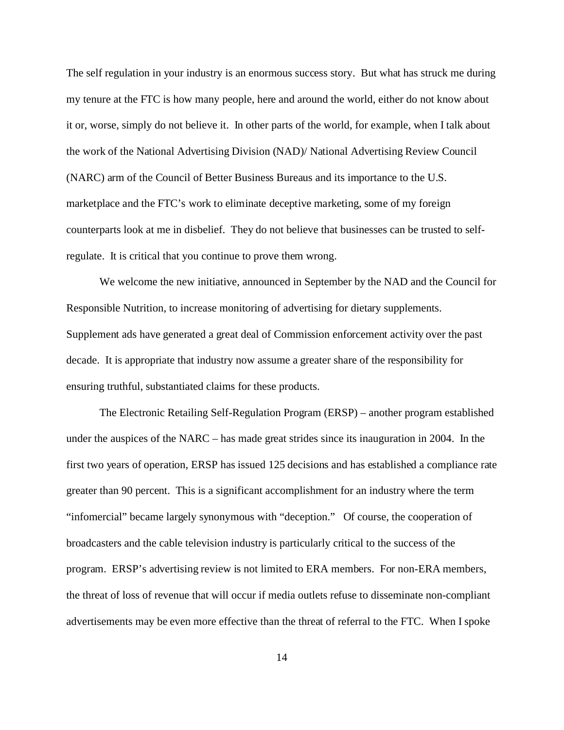The self regulation in your industry is an enormous success story. But what has struck me during my tenure at the FTC is how many people, here and around the world, either do not know about it or, worse, simply do not believe it. In other parts of the world, for example, when I talk about the work of the National Advertising Division (NAD)/ National Advertising Review Council (NARC) arm of the Council of Better Business Bureaus and its importance to the U.S. marketplace and the FTC's work to eliminate deceptive marketing, some of my foreign counterparts look at me in disbelief. They do not believe that businesses can be trusted to selfregulate. It is critical that you continue to prove them wrong.

We welcome the new initiative, announced in September by the NAD and the Council for Responsible Nutrition, to increase monitoring of advertising for dietary supplements. Supplement ads have generated a great deal of Commission enforcement activity over the past decade. It is appropriate that industry now assume a greater share of the responsibility for ensuring truthful, substantiated claims for these products.

The Electronic Retailing Self-Regulation Program (ERSP) – another program established under the auspices of the NARC – has made great strides since its inauguration in 2004. In the first two years of operation, ERSP has issued 125 decisions and has established a compliance rate greater than 90 percent. This is a significant accomplishment for an industry where the term "infomercial" became largely synonymous with "deception." Of course, the cooperation of broadcasters and the cable television industry is particularly critical to the success of the program. ERSP's advertising review is not limited to ERA members. For non-ERA members, the threat of loss of revenue that will occur if media outlets refuse to disseminate non-compliant advertisements may be even more effective than the threat of referral to the FTC. When I spoke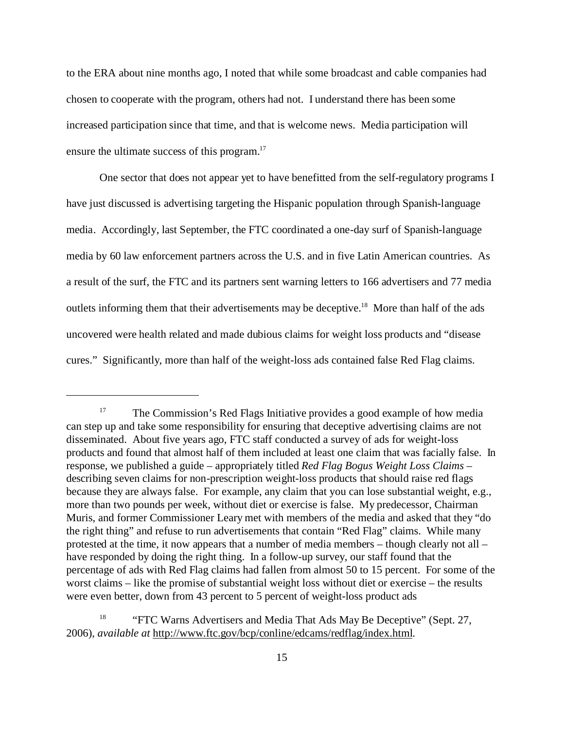to the ERA about nine months ago, I noted that while some broadcast and cable companies had chosen to cooperate with the program, others had not. I understand there has been some increased participation since that time, and that is welcome news. Media participation will ensure the ultimate success of this program.<sup>17</sup>

One sector that does not appear yet to have benefitted from the self-regulatory programs I have just discussed is advertising targeting the Hispanic population through Spanish-language media. Accordingly, last September, the FTC coordinated a one-day surf of Spanish-language media by 60 law enforcement partners across the U.S. and in five Latin American countries. As a result of the surf, the FTC and its partners sent warning letters to 166 advertisers and 77 media outlets informing them that their advertisements may be deceptive.<sup>18</sup> More than half of the ads uncovered were health related and made dubious claims for weight loss products and "disease cures." Significantly, more than half of the weight-loss ads contained false Red Flag claims.

<sup>&</sup>lt;sup>17</sup> The Commission's Red Flags Initiative provides a good example of how media can step up and take some responsibility for ensuring that deceptive advertising claims are not disseminated. About five years ago, FTC staff conducted a survey of ads for weight-loss products and found that almost half of them included at least one claim that was facially false. In response, we published a guide – appropriately titled *Red Flag Bogus Weight Loss Claims* – describing seven claims for non-prescription weight-loss products that should raise red flags because they are always false. For example, any claim that you can lose substantial weight, e.g., more than two pounds per week, without diet or exercise is false. My predecessor, Chairman Muris, and former Commissioner Leary met with members of the media and asked that they "do the right thing" and refuse to run advertisements that contain "Red Flag" claims. While many protested at the time, it now appears that a number of media members – though clearly not all – have responded by doing the right thing. In a follow-up survey, our staff found that the percentage of ads with Red Flag claims had fallen from almost 50 to 15 percent. For some of the worst claims – like the promise of substantial weight loss without diet or exercise – the results were even better, down from 43 percent to 5 percent of weight-loss product ads

<sup>&</sup>lt;sup>18</sup> "FTC Warns Advertisers and Media That Ads May Be Deceptive" (Sept. 27, 2006), *available at* http://www.ftc.gov/bcp/conline/edcams/redflag/index.html.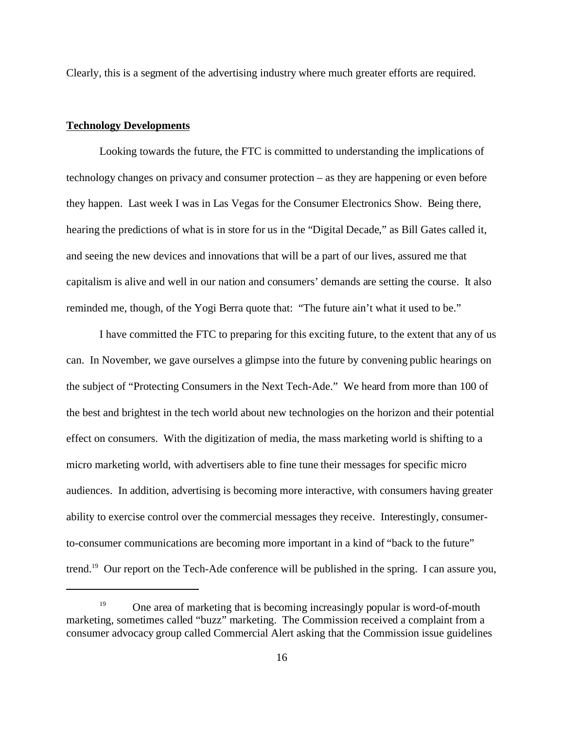Clearly, this is a segment of the advertising industry where much greater efforts are required.

## **Technology Developments**

Looking towards the future, the FTC is committed to understanding the implications of technology changes on privacy and consumer protection – as they are happening or even before they happen. Last week I was in Las Vegas for the Consumer Electronics Show. Being there, hearing the predictions of what is in store for us in the "Digital Decade," as Bill Gates called it, and seeing the new devices and innovations that will be a part of our lives, assured me that capitalism is alive and well in our nation and consumers' demands are setting the course. It also reminded me, though, of the Yogi Berra quote that: "The future ain't what it used to be."

I have committed the FTC to preparing for this exciting future, to the extent that any of us can. In November, we gave ourselves a glimpse into the future by convening public hearings on the subject of "Protecting Consumers in the Next Tech-Ade." We heard from more than 100 of the best and brightest in the tech world about new technologies on the horizon and their potential effect on consumers. With the digitization of media, the mass marketing world is shifting to a micro marketing world, with advertisers able to fine tune their messages for specific micro audiences. In addition, advertising is becoming more interactive, with consumers having greater ability to exercise control over the commercial messages they receive. Interestingly, consumerto-consumer communications are becoming more important in a kind of "back to the future" trend.19 Our report on the Tech-Ade conference will be published in the spring. I can assure you,

<sup>19</sup> One area of marketing that is becoming increasingly popular is word-of-mouth marketing, sometimes called "buzz" marketing. The Commission received a complaint from a consumer advocacy group called Commercial Alert asking that the Commission issue guidelines